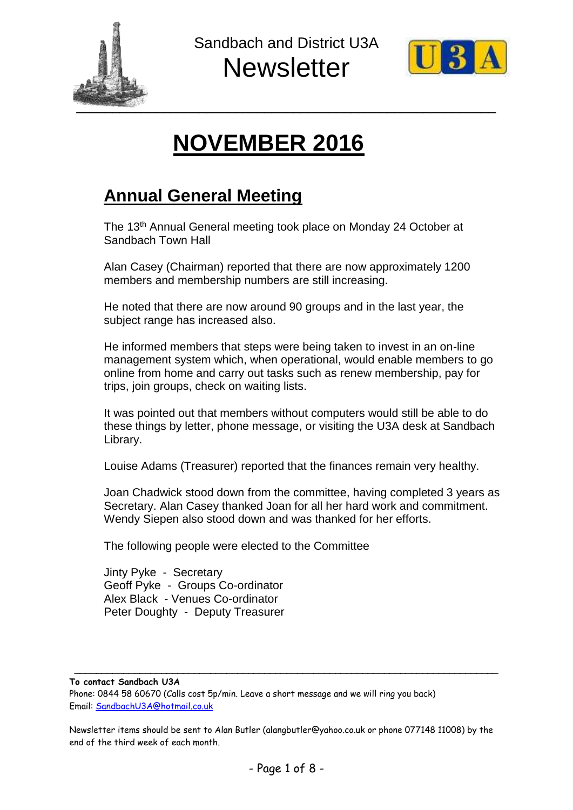



# **NOVEMBER 2016**

## **Annual General Meeting**

The 13<sup>th</sup> Annual General meeting took place on Monday 24 October at Sandbach Town Hall

Alan Casey (Chairman) reported that there are now approximately 1200 members and membership numbers are still increasing.

He noted that there are now around 90 groups and in the last year, the subject range has increased also.

He informed members that steps were being taken to invest in an on-line management system which, when operational, would enable members to go online from home and carry out tasks such as renew membership, pay for trips, join groups, check on waiting lists.

It was pointed out that members without computers would still be able to do these things by letter, phone message, or visiting the U3A desk at Sandbach Library.

Louise Adams (Treasurer) reported that the finances remain very healthy.

Joan Chadwick stood down from the committee, having completed 3 years as Secretary. Alan Casey thanked Joan for all her hard work and commitment. Wendy Siepen also stood down and was thanked for her efforts.

The following people were elected to the Committee

Jinty Pyke - Secretary Geoff Pyke - Groups Co-ordinator Alex Black - Venues Co-ordinator Peter Doughty - Deputy Treasurer

**To contact Sandbach U3A**

Phone: 0844 58 60670 (Calls cost 5p/min. Leave a short message and we will ring you back) Email: [SandbachU3A@hotmail.co.uk](mailto:SandbachU3A@hotmail.co.uk)

Newsletter items should be sent to Alan Butler (alangbutler@yahoo.co.uk or phone 077148 11008) by the end of the third week of each month.

**\_\_\_\_\_\_\_\_\_\_\_\_\_\_\_\_\_\_\_\_\_\_\_\_\_\_\_\_\_\_\_\_\_\_\_\_\_\_\_\_\_\_\_\_\_\_\_\_\_\_\_\_\_\_\_\_\_\_\_\_\_\_\_\_\_\_\_\_\_\_\_\_\_\_\_\_\_\_**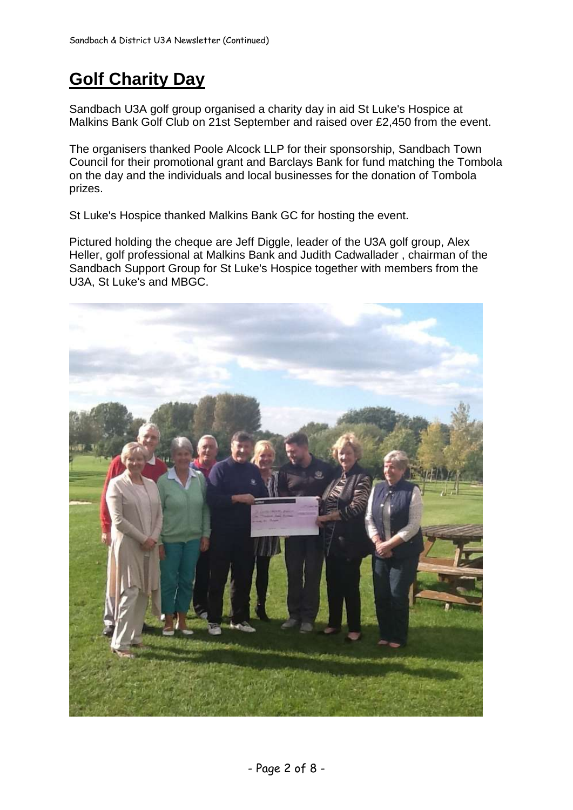# **Golf Charity Day**

Sandbach U3A golf group organised a charity day in aid St Luke's Hospice at Malkins Bank Golf Club on 21st September and raised over £2,450 from the event.

The organisers thanked Poole Alcock LLP for their sponsorship, Sandbach Town Council for their promotional grant and Barclays Bank for fund matching the Tombola on the day and the individuals and local businesses for the donation of Tombola prizes.

St Luke's Hospice thanked Malkins Bank GC for hosting the event.

Pictured holding the cheque are Jeff Diggle, leader of the U3A golf group, Alex Heller, golf professional at Malkins Bank and Judith Cadwallader , chairman of the Sandbach Support Group for St Luke's Hospice together with members from the U3A, St Luke's and MBGC.

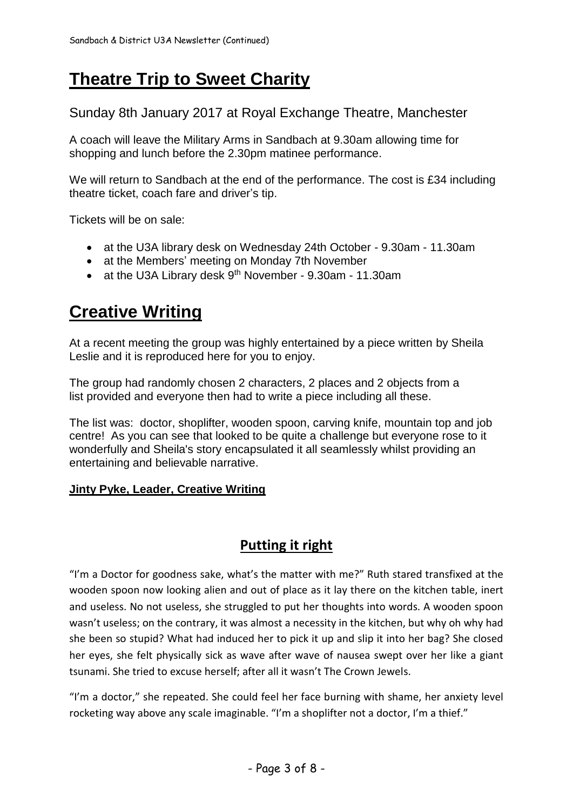# **Theatre Trip to Sweet Charity**

Sunday 8th January 2017 at Royal Exchange Theatre, Manchester

A coach will leave the Military Arms in Sandbach at 9.30am allowing time for shopping and lunch before the 2.30pm matinee performance.

We will return to Sandbach at the end of the performance. The cost is £34 including theatre ticket, coach fare and driver's tip.

Tickets will be on sale:

- at the U3A library desk on Wednesday 24th October 9.30am 11.30am
- at the Members' meeting on Monday 7th November
- at the U3A Library desk 9<sup>th</sup> November 9.30am 11.30am

### **Creative Writing**

At a recent meeting the group was highly entertained by a piece written by Sheila Leslie and it is reproduced here for you to enjoy.

The group had randomly chosen 2 characters, 2 places and 2 objects from a list provided and everyone then had to write a piece including all these.

The list was: doctor, shoplifter, wooden spoon, carving knife, mountain top and job centre! As you can see that looked to be quite a challenge but everyone rose to it wonderfully and Sheila's story encapsulated it all seamlessly whilst providing an entertaining and believable narrative.

### **Jinty Pyke, Leader, Creative Writing**

### **Putting it right**

"I'm a Doctor for goodness sake, what's the matter with me?" Ruth stared transfixed at the wooden spoon now looking alien and out of place as it lay there on the kitchen table, inert and useless. No not useless, she struggled to put her thoughts into words. A wooden spoon wasn't useless; on the contrary, it was almost a necessity in the kitchen, but why oh why had she been so stupid? What had induced her to pick it up and slip it into her bag? She closed her eyes, she felt physically sick as wave after wave of nausea swept over her like a giant tsunami. She tried to excuse herself; after all it wasn't The Crown Jewels.

"I'm a doctor," she repeated. She could feel her face burning with shame, her anxiety level rocketing way above any scale imaginable. "I'm a shoplifter not a doctor, I'm a thief."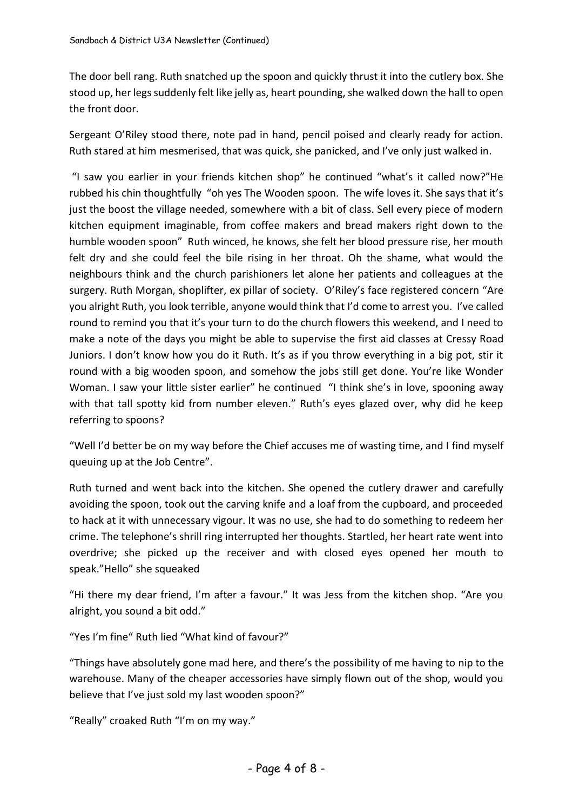The door bell rang. Ruth snatched up the spoon and quickly thrust it into the cutlery box. She stood up, her legs suddenly felt like jelly as, heart pounding, she walked down the hall to open the front door.

Sergeant O'Riley stood there, note pad in hand, pencil poised and clearly ready for action. Ruth stared at him mesmerised, that was quick, she panicked, and I've only just walked in.

"I saw you earlier in your friends kitchen shop" he continued "what's it called now?"He rubbed his chin thoughtfully "oh yes The Wooden spoon. The wife loves it. She says that it's just the boost the village needed, somewhere with a bit of class. Sell every piece of modern kitchen equipment imaginable, from coffee makers and bread makers right down to the humble wooden spoon" Ruth winced, he knows, she felt her blood pressure rise, her mouth felt dry and she could feel the bile rising in her throat. Oh the shame, what would the neighbours think and the church parishioners let alone her patients and colleagues at the surgery. Ruth Morgan, shoplifter, ex pillar of society. O'Riley's face registered concern "Are you alright Ruth, you look terrible, anyone would think that I'd come to arrest you. I've called round to remind you that it's your turn to do the church flowers this weekend, and I need to make a note of the days you might be able to supervise the first aid classes at Cressy Road Juniors. I don't know how you do it Ruth. It's as if you throw everything in a big pot, stir it round with a big wooden spoon, and somehow the jobs still get done. You're like Wonder Woman. I saw your little sister earlier" he continued "I think she's in love, spooning away with that tall spotty kid from number eleven." Ruth's eyes glazed over, why did he keep referring to spoons?

"Well I'd better be on my way before the Chief accuses me of wasting time, and I find myself queuing up at the Job Centre".

Ruth turned and went back into the kitchen. She opened the cutlery drawer and carefully avoiding the spoon, took out the carving knife and a loaf from the cupboard, and proceeded to hack at it with unnecessary vigour. It was no use, she had to do something to redeem her crime. The telephone's shrill ring interrupted her thoughts. Startled, her heart rate went into overdrive; she picked up the receiver and with closed eyes opened her mouth to speak."Hello" she squeaked

"Hi there my dear friend, I'm after a favour." It was Jess from the kitchen shop. "Are you alright, you sound a bit odd."

"Yes I'm fine" Ruth lied "What kind of favour?"

"Things have absolutely gone mad here, and there's the possibility of me having to nip to the warehouse. Many of the cheaper accessories have simply flown out of the shop, would you believe that I've just sold my last wooden spoon?"

"Really" croaked Ruth "I'm on my way."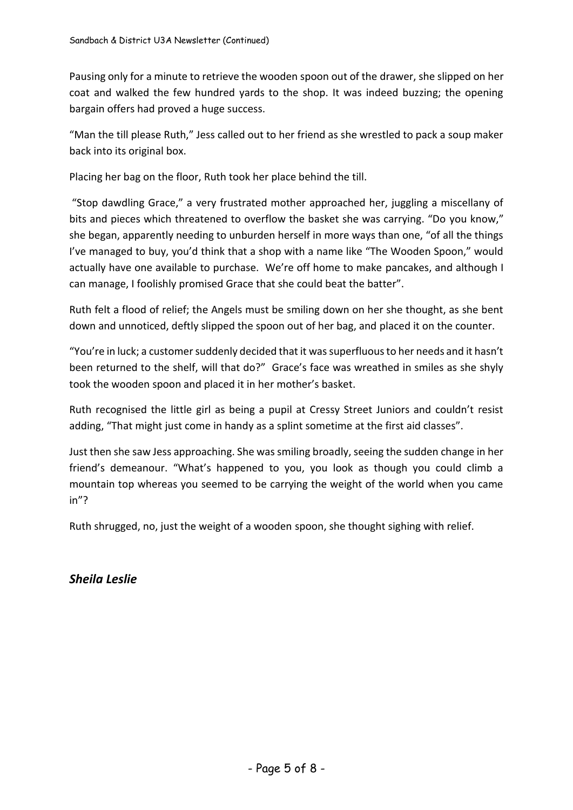Pausing only for a minute to retrieve the wooden spoon out of the drawer, she slipped on her coat and walked the few hundred yards to the shop. It was indeed buzzing; the opening bargain offers had proved a huge success.

"Man the till please Ruth," Jess called out to her friend as she wrestled to pack a soup maker back into its original box.

Placing her bag on the floor, Ruth took her place behind the till.

"Stop dawdling Grace," a very frustrated mother approached her, juggling a miscellany of bits and pieces which threatened to overflow the basket she was carrying. "Do you know," she began, apparently needing to unburden herself in more ways than one, "of all the things I've managed to buy, you'd think that a shop with a name like "The Wooden Spoon," would actually have one available to purchase. We're off home to make pancakes, and although I can manage, I foolishly promised Grace that she could beat the batter".

Ruth felt a flood of relief; the Angels must be smiling down on her she thought, as she bent down and unnoticed, deftly slipped the spoon out of her bag, and placed it on the counter.

"You're in luck; a customer suddenly decided that it was superfluous to her needs and it hasn't been returned to the shelf, will that do?" Grace's face was wreathed in smiles as she shyly took the wooden spoon and placed it in her mother's basket.

Ruth recognised the little girl as being a pupil at Cressy Street Juniors and couldn't resist adding, "That might just come in handy as a splint sometime at the first aid classes".

Just then she saw Jess approaching. She was smiling broadly, seeing the sudden change in her friend's demeanour. "What's happened to you, you look as though you could climb a mountain top whereas you seemed to be carrying the weight of the world when you came in"?

Ruth shrugged, no, just the weight of a wooden spoon, she thought sighing with relief.

*Sheila Leslie*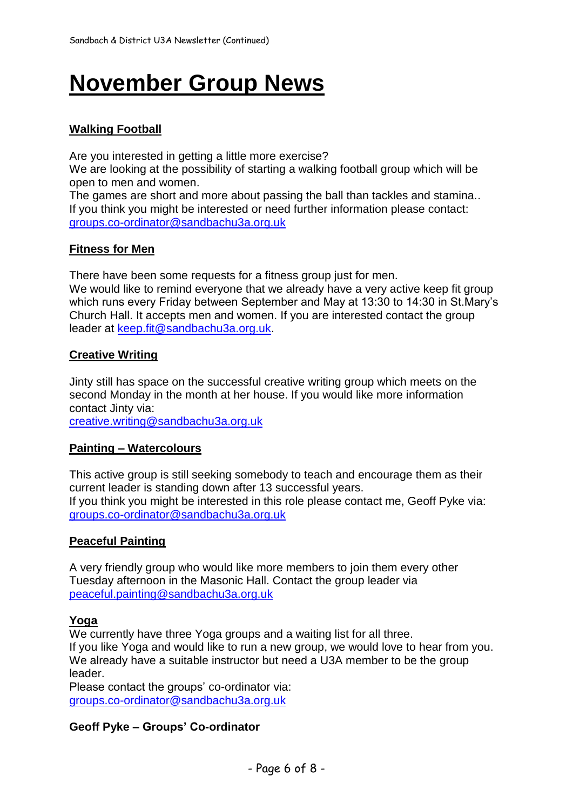# **November Group News**

### **Walking Football**

Are you interested in getting a little more exercise?

We are looking at the possibility of starting a walking football group which will be open to men and women.

The games are short and more about passing the ball than tackles and stamina.. If you think you might be interested or need further information please contact: [groups.co-ordinator@sandbachu3a.org.uk](mailto:groups.co-ordinator@sandbachu3a.org.uk)

#### **Fitness for Men**

There have been some requests for a fitness group just for men. We would like to remind everyone that we already have a very active keep fit group which runs every Friday between September and May at 13:30 to 14:30 in St.Mary's Church Hall. It accepts men and women. If you are interested contact the group leader at [keep.fit@sandbachu3a.org.uk.](mailto:keep.fit@sandbachu3a.org.uk)

#### **Creative Writing**

Jinty still has space on the successful creative writing group which meets on the second Monday in the month at her house. If you would like more information contact Jinty via:

[creative.writing@sandbachu3](mailto:creative.writing@sandbachu)a.org.uk

#### **Painting – Watercolours**

This active group is still seeking somebody to teach and encourage them as their current leader is standing down after 13 successful years. If you think you might be interested in this role please contact me, Geoff Pyke via: groups.co-ordinator@sandbachu3a.org.uk

#### **Peaceful Painting**

A very friendly group who would like more members to join them every other Tuesday afternoon in the Masonic Hall. Contact the group leader via [peaceful.painting@sandbachu3a.org.uk](mailto:peaceful.painting@sandbachu3a.org.uk)

#### **Yoga**

We currently have three Yoga groups and a waiting list for all three. If you like Yoga and would like to run a new group, we would love to hear from you. We already have a suitable instructor but need a U3A member to be the group leader.

Please contact the groups' co-ordinator via: [groups.co-ordinator@sandbachu3a.org.uk](mailto:groups.co-ordinator@sandbachu3a.org.uk)

#### **Geoff Pyke – Groups' Co-ordinator**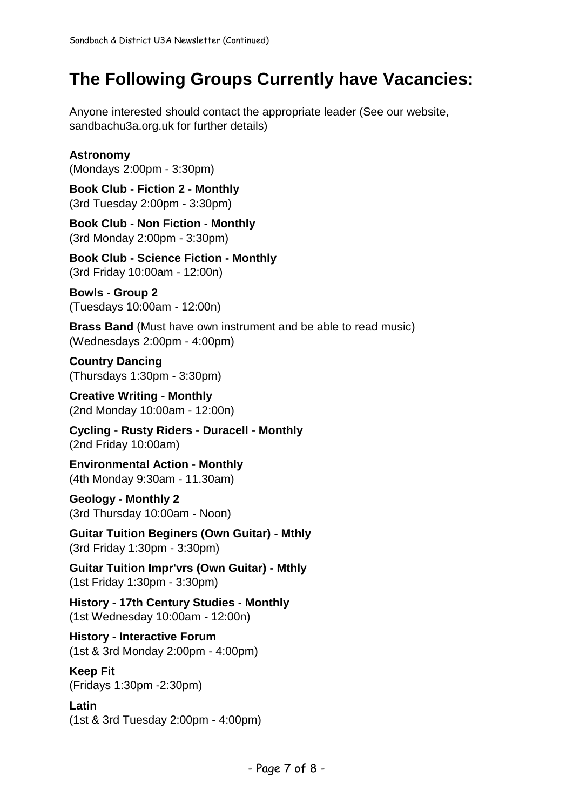# **The Following Groups Currently have Vacancies:**

Anyone interested should contact the appropriate leader (See our website, sandbachu3a.org.uk for further details)

### **Astronomy**

(Mondays 2:00pm - 3:30pm)

**Book Club - Fiction 2 - Monthly** (3rd Tuesday 2:00pm - 3:30pm)

**Book Club - Non Fiction - Monthly** (3rd Monday 2:00pm - 3:30pm)

**Book Club - Science Fiction - Monthly** (3rd Friday 10:00am - 12:00n)

**Bowls - Group 2** (Tuesdays 10:00am - 12:00n)

**Brass Band** (Must have own instrument and be able to read music) (Wednesdays 2:00pm - 4:00pm)

**Country Dancing** (Thursdays 1:30pm - 3:30pm)

**Creative Writing - Monthly** (2nd Monday 10:00am - 12:00n)

**Cycling - Rusty Riders - Duracell - Monthly** (2nd Friday 10:00am)

**Environmental Action - Monthly** (4th Monday 9:30am - 11.30am)

**Geology - Monthly 2** (3rd Thursday 10:00am - Noon)

**Guitar Tuition Beginers (Own Guitar) - Mthly** (3rd Friday 1:30pm - 3:30pm)

**Guitar Tuition Impr'vrs (Own Guitar) - Mthly** (1st Friday 1:30pm - 3:30pm)

**History - 17th Century Studies - Monthly** (1st Wednesday 10:00am - 12:00n)

**History - Interactive Forum** (1st & 3rd Monday 2:00pm - 4:00pm)

**Keep Fit**

(Fridays 1:30pm -2:30pm)

**Latin** (1st & 3rd Tuesday 2:00pm - 4:00pm)